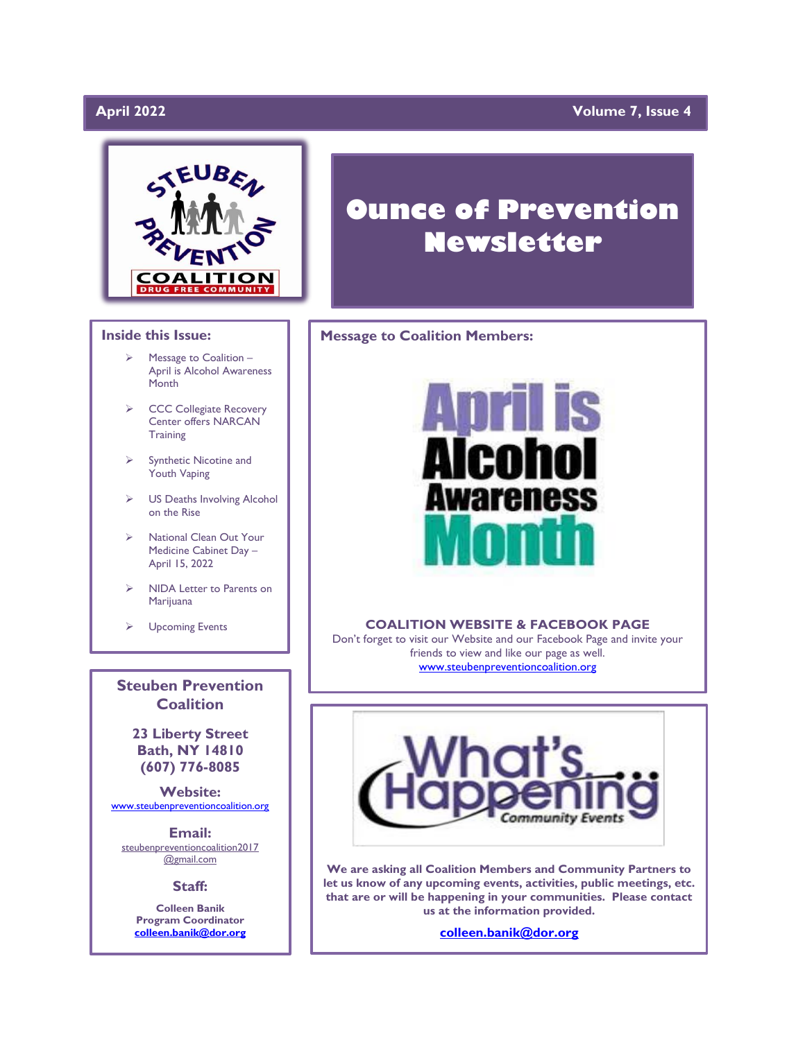# April 2022

# **April 2022 Volume 7, Issue 4**



### **Inside this Issue:**

- ➢ Message to Coalition April is Alcohol Awareness **Month**
- ➢ CCC Collegiate Recovery Center offers NARCAN **Training**
- ➢ Synthetic Nicotine and Youth Vaping
- ➢ US Deaths Involving Alcohol on the Rise
- ➢ National Clean Out Your Medicine Cabinet Day – April 15, 2022
- ➢ NIDA Letter to Parents on Marijuana
- ➢ Upcoming Events

**Steuben Prevention Coalition**

**23 Liberty Street Bath, NY 14810 (607) 776-8085**

**Website:**  [www.steubenpreventioncoalition.org](http://www.steubenpreventioncoalition.org/)

**Email:**  steubenpreventioncoalition2017 @gmail.com

**Staff:**

**Colleen Banik Program Coordinator [colleen.banik@dor.org](mailto:colleen.banik@dor.org)**

# **Ounce of Prevention Newsletter**

### **Message to Coalition Members:**



### **COALITION WEBSITE & FACEBOOK PAGE**

Don't forget to visit our Website and our Facebook Page and invite your friends to view and like our page as well. [www.steubenpreventioncoalition.org](http://www.steubenpreventioncoalition.org/)



**We are asking all Coalition Members and Community Partners to let us know of any upcoming events, activities, public meetings, etc. that are or will be happening in your communities. Please contact us at the information provided.**

**[colleen.banik@dor.org](mailto:colleen.banik@dor.org)**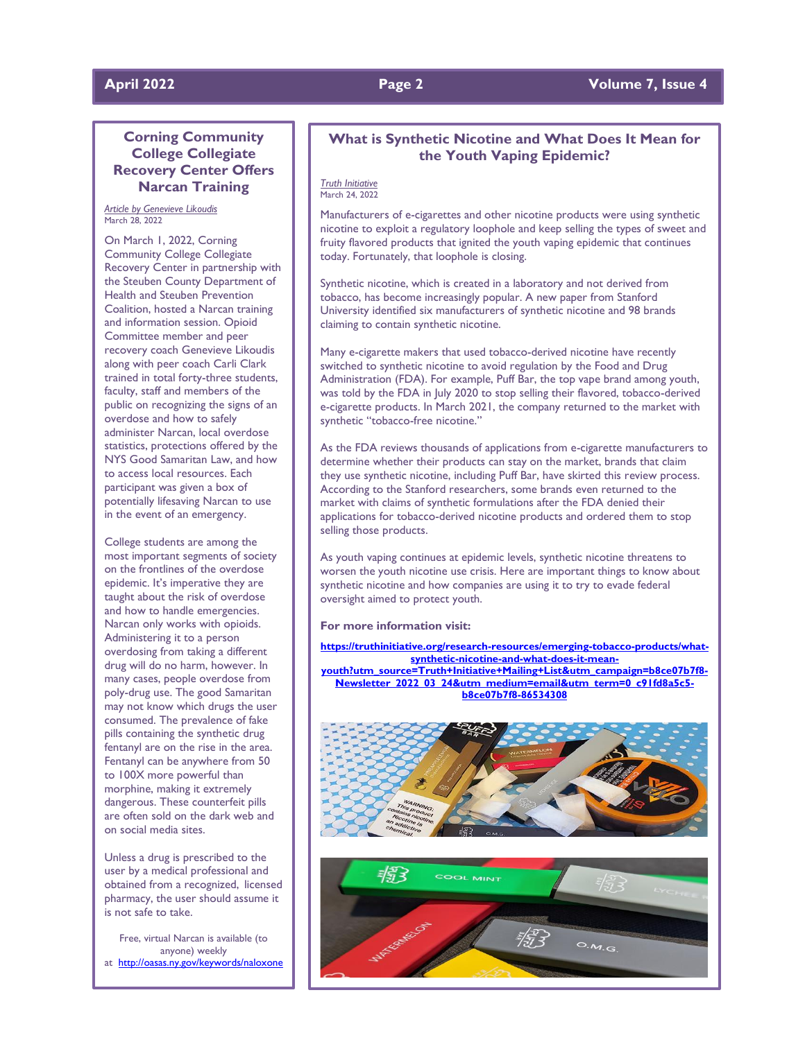# **April 2022 Page 2 Volume 7, Issue 4**

### **Corning Community College Collegiate Recovery Center Offers Narcan Training**

### *Article by Genevieve Likoudis* March 28, 2022

On March 1, 2022, Corning Community College Collegiate Recovery Center in partnership with the Steuben County Department of Health and Steuben Prevention Coalition, hosted a Narcan training and information session. Opioid Committee member and peer recovery coach Genevieve Likoudis along with peer coach Carli Clark trained in total forty-three students, faculty, staff and members of the public on recognizing the signs of an overdose and how to safely administer Narcan, local overdose statistics, protections offered by the NYS Good Samaritan Law, and how to access local resources. Each participant was given a box of potentially lifesaving Narcan to use in the event of an emergency.

College students are among the most important segments of society on the frontlines of the overdose epidemic. It's imperative they are taught about the risk of overdose and how to handle emergencies. Narcan only works with opioids. Administering it to a person overdosing from taking a different drug will do no harm, however. In many cases, people overdose from poly-drug use. The good Samaritan may not know which drugs the user consumed. The prevalence of fake pills containing the synthetic drug fentanyl are on the rise in the area. Fentanyl can be anywhere from 50 to 100X more powerful than morphine, making it extremely dangerous. These counterfeit pills are often sold on the dark web and on social media sites.

Unless a drug is prescribed to the user by a medical professional and obtained from a recognized, licensed pharmacy, the user should assume it is not safe to take.

Free, virtual Narcan is available (to anyone) weekly at <http://oasas.ny.gov/keywords/naloxone>

### **What is Synthetic Nicotine and What Does It Mean for the Youth Vaping Epidemic?**

### *Truth Initiative* March 24, 2022

Manufacturers of e-cigarettes and other nicotine products were using synthetic nicotine to exploit a regulatory loophole and keep selling the types of sweet and fruity flavored products that ignited the youth vaping epidemic that continues today. Fortunately, that loophole is closing.

Synthetic nicotine, which is created in a laboratory and not derived from tobacco, has become increasingly popular. A new paper from Stanford University identified six manufacturers of synthetic nicotine and 98 brands claiming to contain synthetic nicotine.

Many e-cigarette makers that used tobacco-derived nicotine have recently switched to synthetic nicotine to avoid regulation by the Food and Drug Administration (FDA). For example, Puff Bar, the top vape brand among youth, was told by the FDA in July 2020 to stop selling their flavored, tobacco-derived e-cigarette products. In March 2021, the company returned to the market with synthetic "tobacco-free nicotine."

As the FDA reviews thousands of applications from e-cigarette manufacturers to determine whether their products can stay on the market, brands that claim they use synthetic nicotine, including Puff Bar, have skirted this review process. According to the Stanford researchers, some brands even returned to the market with claims of synthetic formulations after the FDA denied their applications for tobacco-derived nicotine products and ordered them to stop selling those products.

As youth vaping continues at epidemic levels, synthetic nicotine threatens to worsen the youth nicotine use crisis. Here are important things to know about synthetic nicotine and how companies are using it to try to evade federal oversight aimed to protect youth.

### **For more information visit:**

**[https://truthinitiative.org/research-resources/emerging-tobacco-products/what](https://truthinitiative.org/research-resources/emerging-tobacco-products/what-synthetic-nicotine-and-what-does-it-mean-youth?utm_source=Truth+Initiative+Mailing+List&utm_campaign=b8ce07b7f8-Newsletter_2022_03_24&utm_medium=email&utm_term=0_c91fd8a5c5-b8ce07b7f8-86534308)[synthetic-nicotine-and-what-does-it-mean](https://truthinitiative.org/research-resources/emerging-tobacco-products/what-synthetic-nicotine-and-what-does-it-mean-youth?utm_source=Truth+Initiative+Mailing+List&utm_campaign=b8ce07b7f8-Newsletter_2022_03_24&utm_medium=email&utm_term=0_c91fd8a5c5-b8ce07b7f8-86534308)[youth?utm\\_source=Truth+Initiative+Mailing+List&utm\\_campaign=b8ce07b7f8-](https://truthinitiative.org/research-resources/emerging-tobacco-products/what-synthetic-nicotine-and-what-does-it-mean-youth?utm_source=Truth+Initiative+Mailing+List&utm_campaign=b8ce07b7f8-Newsletter_2022_03_24&utm_medium=email&utm_term=0_c91fd8a5c5-b8ce07b7f8-86534308) [Newsletter\\_2022\\_03\\_24&utm\\_medium=email&utm\\_term=0\\_c91fd8a5c5](https://truthinitiative.org/research-resources/emerging-tobacco-products/what-synthetic-nicotine-and-what-does-it-mean-youth?utm_source=Truth+Initiative+Mailing+List&utm_campaign=b8ce07b7f8-Newsletter_2022_03_24&utm_medium=email&utm_term=0_c91fd8a5c5-b8ce07b7f8-86534308) [b8ce07b7f8-86534308](https://truthinitiative.org/research-resources/emerging-tobacco-products/what-synthetic-nicotine-and-what-does-it-mean-youth?utm_source=Truth+Initiative+Mailing+List&utm_campaign=b8ce07b7f8-Newsletter_2022_03_24&utm_medium=email&utm_term=0_c91fd8a5c5-b8ce07b7f8-86534308)**



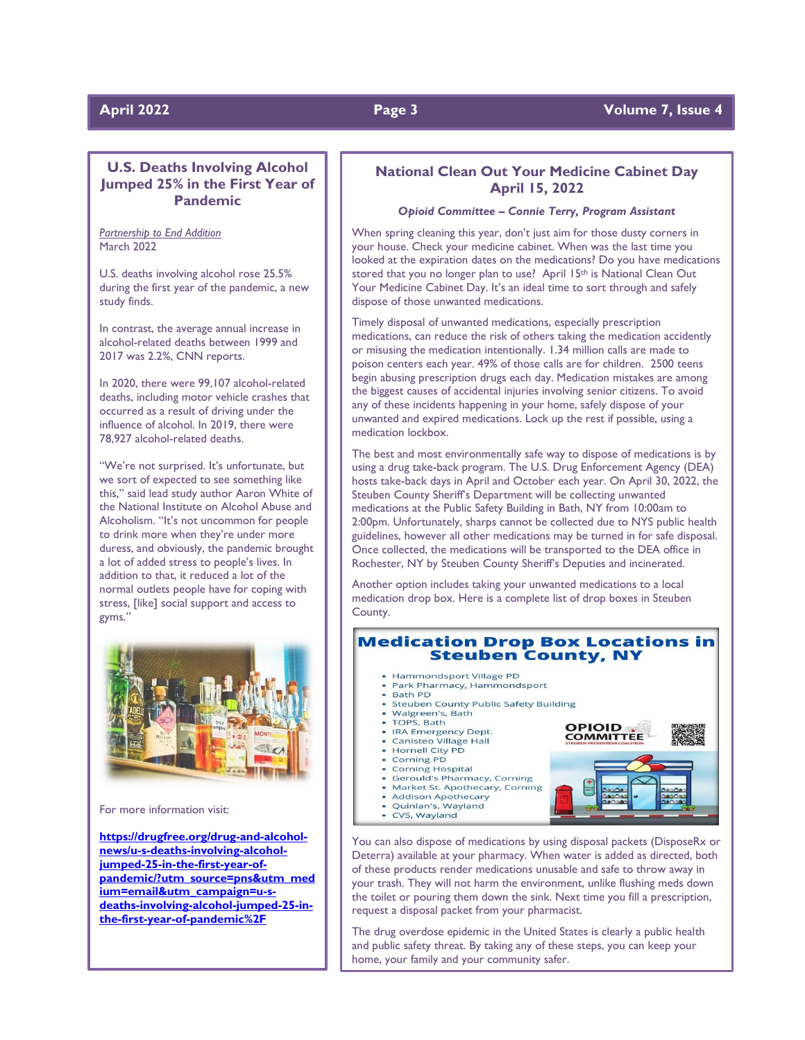# **U.S. Deaths Involving Alcohol Jumped 25% in the First Year of Pandemic**

*Partnership to End Addition* March 2022

U.S. deaths involving alcohol rose 25.5% during the first year of the pandemic, a new study finds.

In contrast, the average annual increase in alcohol-related deaths between 1999 and 2017 was 2.2%, CNN reports.

In 2020, there were 99,107 alcohol-related deaths, including motor vehicle crashes that occurred as a result of driving under the influence of alcohol. In 2019, there were 78,927 alcohol-related deaths.

"We're not surprised. It's unfortunate, but we sort of expected to see something like this," said lead study author Aaron White of the National Institute on Alcohol Abuse and Alcoholism. "It's not uncommon for people to drink more when they're under more duress, and obviously, the pandemic brought a lot of added stress to people's lives. In addition to that, it reduced a lot of the normal outlets people have for coping with stress, [like] social support and access to gyms."



For more information visit:

**[https://drugfree.org/drug-and-alcohol](https://drugfree.org/drug-and-alcohol-news/u-s-deaths-involving-alcohol-jumped-25-in-the-first-year-of-pandemic/?utm_source=pns&utm_medium=email&utm_campaign=u-s-deaths-involving-alcohol-jumped-25-in-the-first-year-of-pandemic%2F)[news/u-s-deaths-involving-alcohol](https://drugfree.org/drug-and-alcohol-news/u-s-deaths-involving-alcohol-jumped-25-in-the-first-year-of-pandemic/?utm_source=pns&utm_medium=email&utm_campaign=u-s-deaths-involving-alcohol-jumped-25-in-the-first-year-of-pandemic%2F)[jumped-25-in-the-first-year-of](https://drugfree.org/drug-and-alcohol-news/u-s-deaths-involving-alcohol-jumped-25-in-the-first-year-of-pandemic/?utm_source=pns&utm_medium=email&utm_campaign=u-s-deaths-involving-alcohol-jumped-25-in-the-first-year-of-pandemic%2F)[pandemic/?utm\\_source=pns&utm\\_med](https://drugfree.org/drug-and-alcohol-news/u-s-deaths-involving-alcohol-jumped-25-in-the-first-year-of-pandemic/?utm_source=pns&utm_medium=email&utm_campaign=u-s-deaths-involving-alcohol-jumped-25-in-the-first-year-of-pandemic%2F) [ium=email&utm\\_campaign=u-s](https://drugfree.org/drug-and-alcohol-news/u-s-deaths-involving-alcohol-jumped-25-in-the-first-year-of-pandemic/?utm_source=pns&utm_medium=email&utm_campaign=u-s-deaths-involving-alcohol-jumped-25-in-the-first-year-of-pandemic%2F)[deaths-involving-alcohol-jumped-25-in](https://drugfree.org/drug-and-alcohol-news/u-s-deaths-involving-alcohol-jumped-25-in-the-first-year-of-pandemic/?utm_source=pns&utm_medium=email&utm_campaign=u-s-deaths-involving-alcohol-jumped-25-in-the-first-year-of-pandemic%2F)[the-first-year-of-pandemic%2F](https://drugfree.org/drug-and-alcohol-news/u-s-deaths-involving-alcohol-jumped-25-in-the-first-year-of-pandemic/?utm_source=pns&utm_medium=email&utm_campaign=u-s-deaths-involving-alcohol-jumped-25-in-the-first-year-of-pandemic%2F)**

### **National Clean Out Your Medicine Cabinet Day April 15, 2022**

### *Opioid Committee – Connie Terry, Program Assistant*

When spring cleaning this year, don't just aim for those dusty corners in your house. Check your medicine cabinet. When was the last time you looked at the expiration dates on the medications? Do you have medications stored that you no longer plan to use? April 15th is National Clean Out Your Medicine Cabinet Day. It's an ideal time to sort through and safely dispose of those unwanted medications.

Timely disposal of unwanted medications, especially prescription medications, can reduce the risk of others taking the medication accidently or misusing the medication intentionally. 1.34 million calls are made to poison centers each year. 49% of those calls are for children. 2500 teens begin abusing prescription drugs each day. Medication mistakes are among the biggest causes of accidental injuries involving senior citizens. To avoid any of these incidents happening in your home, safely dispose of your unwanted and expired medications. Lock up the rest if possible, using a medication lockbox.

The best and most environmentally safe way to dispose of medications is by using a drug take-back program. The U.S. Drug Enforcement Agency (DEA) hosts take-back days in April and October each year. On April 30, 2022, the Steuben County Sheriff's Department will be collecting unwanted medications at the Public Safety Building in Bath, NY from 10:00am to 2:00pm. Unfortunately, sharps cannot be collected due to NYS public health guidelines, however all other medications may be turned in for safe disposal. Once collected, the medications will be transported to the DEA office in Rochester, NY by Steuben County Sheriff's Deputies and incinerated.

Another option includes taking your unwanted medications to a local medication drop box. Here is a complete list of drop boxes in Steuben County.

# **Medication Drop Box Locations in Steuben County, NY**

**OPIOID** 

**COMMITTEE** 

- Hammondsport Village PD
- Park Pharmacy, Hammondsport **Bath PD**
- **Steuben County Public Safety Building**
- Walgreen's, Bath
- TOPS, Bath
- IRA Emergency Dept. Canisteo Village Hall
- Hornell City PD
- Corning PD
- **Corning Hospital**
- **Gerould's Pharmacy, Corning** Market St. Apothecary, Corning
- 
- Addison Apothecary<br>Quinlan's, Wayland
- CVS, Wayland
- You can also dispose of medications by using disposal packets (DisposeRx or Deterra) available at your pharmacy. When water is added as directed, both of these products render medications unusable and safe to throw away in your trash. They will not harm the environment, unlike flushing meds down the toilet or pouring them down the sink. Next time you fill a prescription, request a disposal packet from your pharmacist.

The drug overdose epidemic in the United States is clearly a public health and public safety threat. By taking any of these steps, you can keep your home, your family and your community safer.